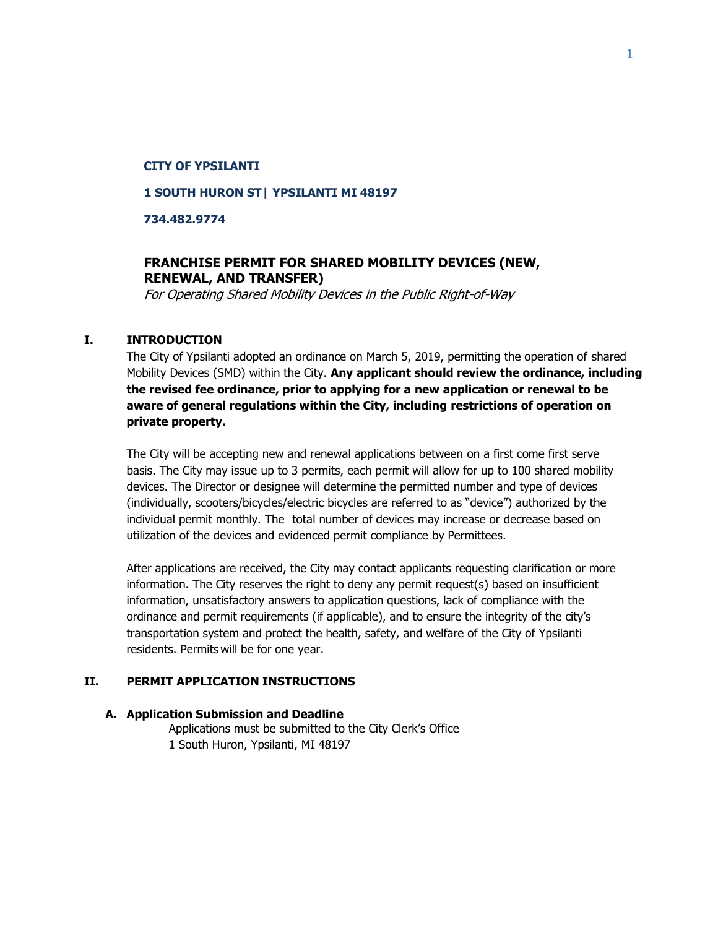#### **CITY OF YPSILANTI**

### **1 SOUTH HURON ST| YPSILANTI MI 48197**

**734.482.9774**

# **FRANCHISE PERMIT FOR SHARED MOBILITY DEVICES (NEW, RENEWAL, AND TRANSFER)**

For Operating Shared Mobility Devices in the Public Right-of-Way

#### **I. INTRODUCTION**

The City of Ypsilanti adopted an ordinance on March 5, 2019, permitting the operation of shared Mobility Devices (SMD) within the City. **Any applicant should review the ordinance, including the revised fee ordinance, prior to applying for a new application or renewal to be aware of general regulations within the City, including restrictions of operation on private property.** 

The City will be accepting new and renewal applications between on a first come first serve basis. The City may issue up to 3 permits, each permit will allow for up to 100 shared mobility devices. The Director or designee will determine the permitted number and type of devices (individually, scooters/bicycles/electric bicycles are referred to as "device") authorized by the individual permit monthly. The total number of devices may increase or decrease based on utilization of the devices and evidenced permit compliance by Permittees.

After applications are received, the City may contact applicants requesting clarification or more information. The City reserves the right to deny any permit request(s) based on insufficient information, unsatisfactory answers to application questions, lack of compliance with the ordinance and permit requirements (if applicable), and to ensure the integrity of the city's transportation system and protect the health, safety, and welfare of the City of Ypsilanti residents. Permits will be for one year.

#### **II. PERMIT APPLICATION INSTRUCTIONS**

#### **A. Application Submission and Deadline**

Applications must be submitted to the City Clerk's Office 1 South Huron, Ypsilanti, MI 48197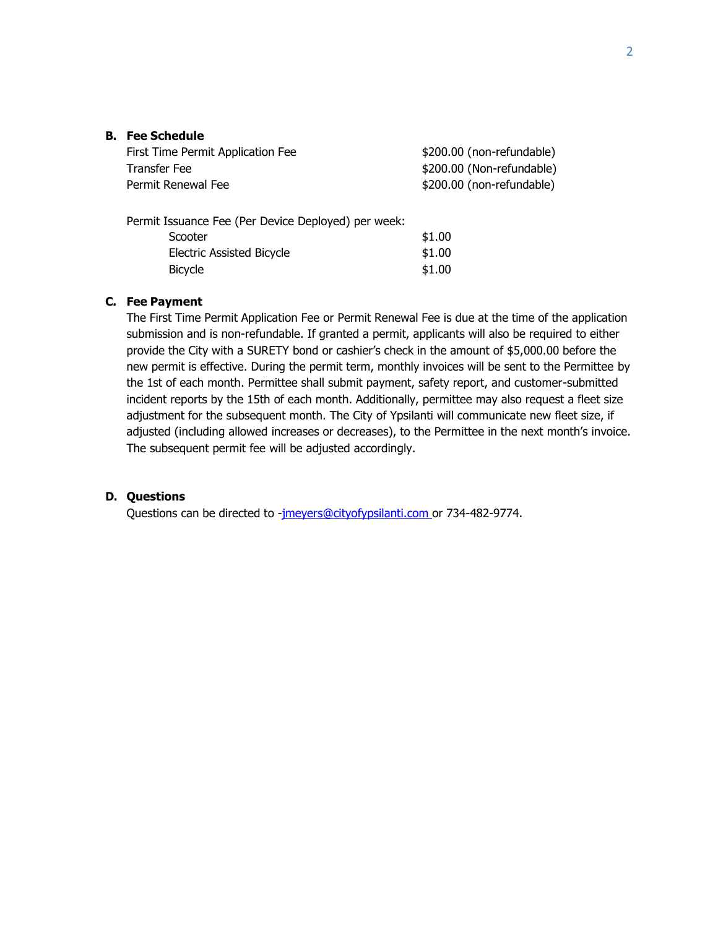# **B. Fee Schedule**

| First Time Permit Application Fee | \$200.00 (non-refundable) |
|-----------------------------------|---------------------------|
| Transfer Fee                      | \$200.00 (Non-refundable) |
| Permit Renewal Fee                | \$200.00 (non-refundable) |
|                                   |                           |

| Permit Issuance Fee (Per Device Deployed) per week: |        |
|-----------------------------------------------------|--------|
| Scooter                                             | \$1.00 |
| <b>Electric Assisted Bicycle</b>                    | \$1.00 |
| <b>Bicycle</b>                                      | \$1.00 |

#### **C. Fee Payment**

The First Time Permit Application Fee or Permit Renewal Fee is due at the time of the application submission and is non-refundable. If granted a permit, applicants will also be required to either provide the City with a SURETY bond or cashier's check in the amount of \$5,000.00 before the new permit is effective. During the permit term, monthly invoices will be sent to the Permittee by the 1st of each month. Permittee shall submit payment, safety report, and customer-submitted incident reports by the 15th of each month. Additionally, permittee may also request a fleet size adjustment for the subsequent month. The City of Ypsilanti will communicate new fleet size, if adjusted (including allowed increases or decreases), to the Permittee in the next month's invoice. The subsequent permit fee will be adjusted accordingly.

# **D. Questions**

Questions can be directed to [-jmeyers@cityofypsilanti.com](mailto:jmeyers@cityofypsilanti.com) or 734-482-9774.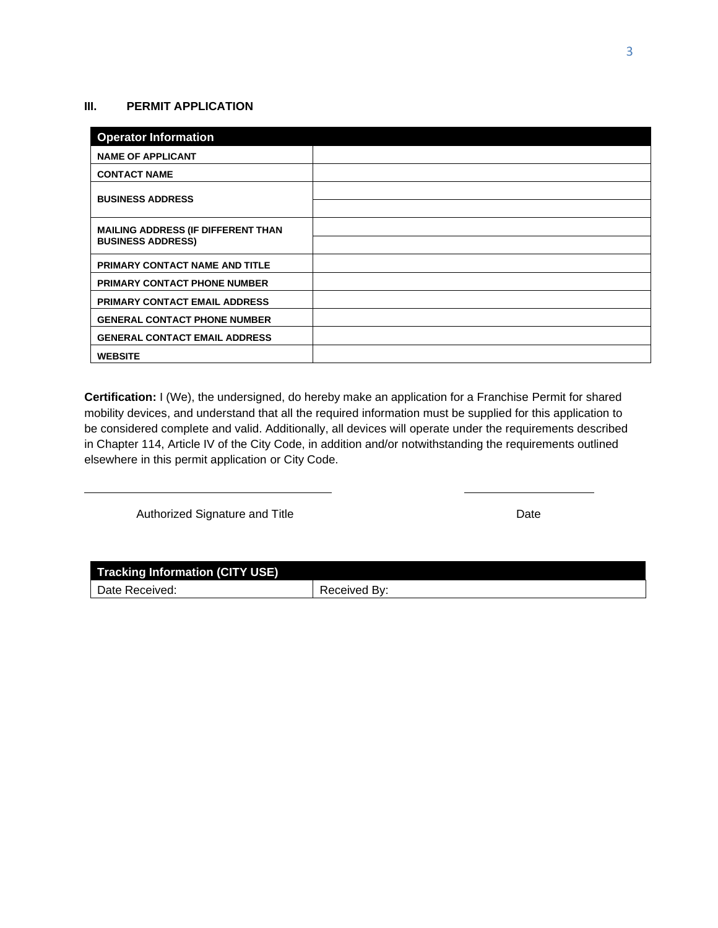### **III. PERMIT APPLICATION**

| <b>Operator Information</b>                                           |  |
|-----------------------------------------------------------------------|--|
| <b>NAME OF APPLICANT</b>                                              |  |
| <b>CONTACT NAME</b>                                                   |  |
| <b>BUSINESS ADDRESS</b>                                               |  |
| <b>MAILING ADDRESS (IF DIFFERENT THAN</b><br><b>BUSINESS ADDRESS)</b> |  |
| PRIMARY CONTACT NAME AND TITLE                                        |  |
| <b>PRIMARY CONTACT PHONE NUMBER</b>                                   |  |
| <b>PRIMARY CONTACT EMAIL ADDRESS</b>                                  |  |
| <b>GENERAL CONTACT PHONE NUMBER</b>                                   |  |
| <b>GENERAL CONTACT EMAIL ADDRESS</b>                                  |  |
| <b>WEBSITE</b>                                                        |  |

**Certification:** I (We), the undersigned, do hereby make an application for a Franchise Permit for shared mobility devices, and understand that all the required information must be supplied for this application to be considered complete and valid. Additionally, all devices will operate under the requirements described in Chapter 114, Article IV of the City Code, in addition and/or notwithstanding the requirements outlined elsewhere in this permit application or City Code.

Authorized Signature and Title **Date** Date Date

| Tracking Information (CITY USE) |              |
|---------------------------------|--------------|
| Date Received:                  | Received By: |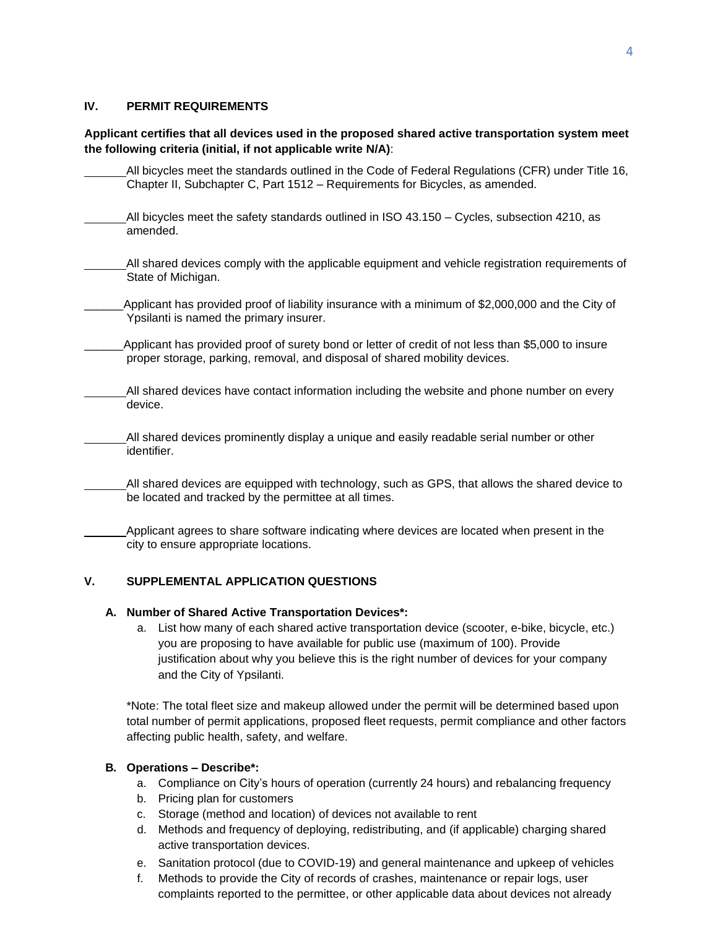### **IV. PERMIT REQUIREMENTS**

### **Applicant certifies that all devices used in the proposed shared active transportation system meet the following criteria (initial, if not applicable write N/A)**:

| All bicycles meet the standards outlined in the Code of Federal Regulations (CFR) under Title 16,                                                                                |
|----------------------------------------------------------------------------------------------------------------------------------------------------------------------------------|
| Chapter II, Subchapter C, Part 1512 – Requirements for Bicycles, as amended.                                                                                                     |
| All bicycles meet the safety standards outlined in ISO 43.150 – Cycles, subsection 4210, as<br>amended.                                                                          |
| All shared devices comply with the applicable equipment and vehicle registration requirements of<br>State of Michigan.                                                           |
| Applicant has provided proof of liability insurance with a minimum of \$2,000,000 and the City of                                                                                |
| Ypsilanti is named the primary insurer.                                                                                                                                          |
| Applicant has provided proof of surety bond or letter of credit of not less than \$5,000 to insure<br>proper storage, parking, removal, and disposal of shared mobility devices. |
| All shared devices have contact information including the website and phone number on every<br>device.                                                                           |
| All shared devices prominently display a unique and easily readable serial number or other<br>identifier.                                                                        |
| All shared devices are equipped with technology, such as GPS, that allows the shared device to<br>be located and tracked by the permittee at all times.                          |

Applicant agrees to share software indicating where devices are located when present in the city to ensure appropriate locations.

# **V. SUPPLEMENTAL APPLICATION QUESTIONS**

#### **A. Number of Shared Active Transportation Devices\*:**

a. List how many of each shared active transportation device (scooter, e-bike, bicycle, etc.) you are proposing to have available for public use (maximum of 100). Provide justification about why you believe this is the right number of devices for your company and the City of Ypsilanti.

\*Note: The total fleet size and makeup allowed under the permit will be determined based upon total number of permit applications, proposed fleet requests, permit compliance and other factors affecting public health, safety, and welfare.

# **B. Operations – Describe\*:**

- a. Compliance on City's hours of operation (currently 24 hours) and rebalancing frequency
- b. Pricing plan for customers
- c. Storage (method and location) of devices not available to rent
- d. Methods and frequency of deploying, redistributing, and (if applicable) charging shared active transportation devices.
- e. Sanitation protocol (due to COVID-19) and general maintenance and upkeep of vehicles
- f. Methods to provide the City of records of crashes, maintenance or repair logs, user complaints reported to the permittee, or other applicable data about devices not already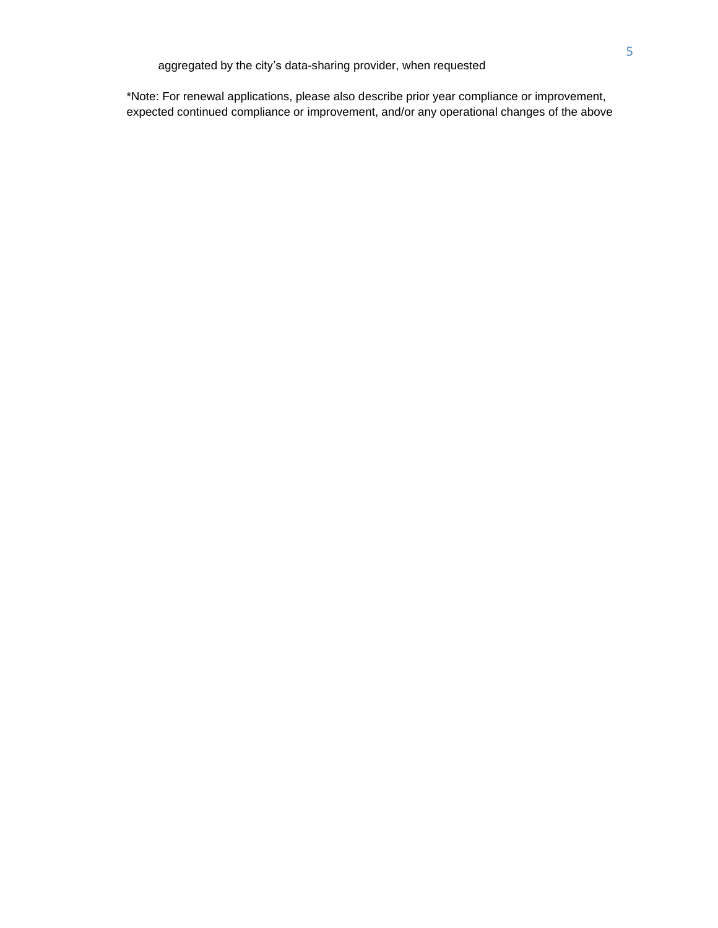\*Note: For renewal applications, please also describe prior year compliance or improvement, expected continued compliance or improvement, and/or any operational changes of the above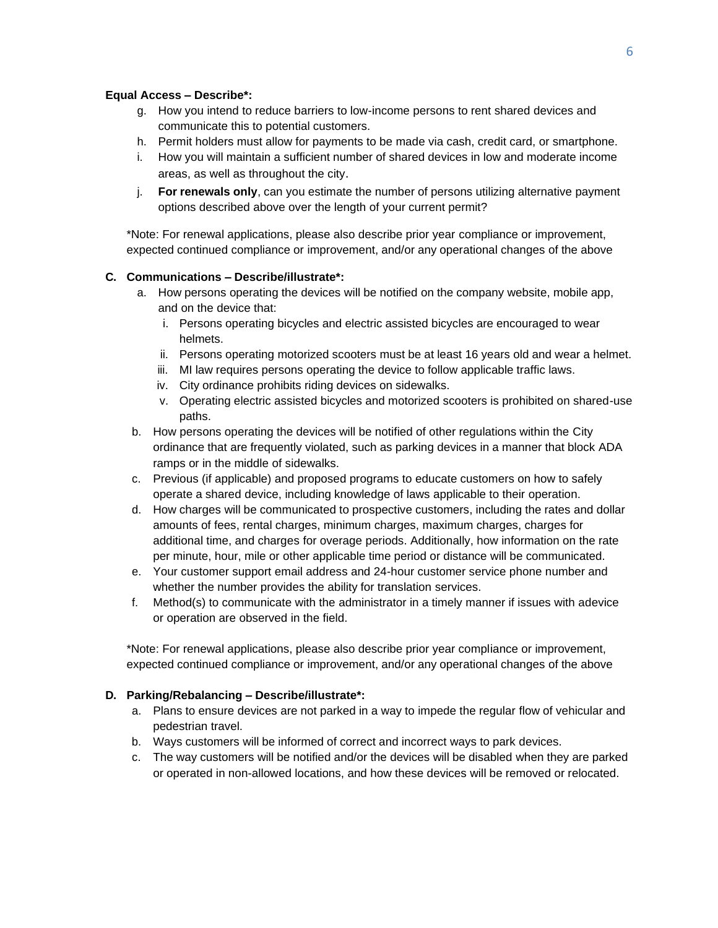### **Equal Access – Describe\*:**

- g. How you intend to reduce barriers to low-income persons to rent shared devices and communicate this to potential customers.
- h. Permit holders must allow for payments to be made via cash, credit card, or smartphone.
- i. How you will maintain a sufficient number of shared devices in low and moderate income areas, as well as throughout the city.
- j. **For renewals only**, can you estimate the number of persons utilizing alternative payment options described above over the length of your current permit?

\*Note: For renewal applications, please also describe prior year compliance or improvement, expected continued compliance or improvement, and/or any operational changes of the above

### **C. Communications – Describe/illustrate\*:**

- a. How persons operating the devices will be notified on the company website, mobile app, and on the device that:
	- i. Persons operating bicycles and electric assisted bicycles are encouraged to wear helmets.
	- ii. Persons operating motorized scooters must be at least 16 years old and wear a helmet.
	- iii. MI law requires persons operating the device to follow applicable traffic laws.
	- iv. City ordinance prohibits riding devices on sidewalks.
	- v. Operating electric assisted bicycles and motorized scooters is prohibited on shared-use paths.
- b. How persons operating the devices will be notified of other regulations within the City ordinance that are frequently violated, such as parking devices in a manner that block ADA ramps or in the middle of sidewalks.
- c. Previous (if applicable) and proposed programs to educate customers on how to safely operate a shared device, including knowledge of laws applicable to their operation.
- d. How charges will be communicated to prospective customers, including the rates and dollar amounts of fees, rental charges, minimum charges, maximum charges, charges for additional time, and charges for overage periods. Additionally, how information on the rate per minute, hour, mile or other applicable time period or distance will be communicated.
- e. Your customer support email address and 24-hour customer service phone number and whether the number provides the ability for translation services.
- f. Method(s) to communicate with the administrator in a timely manner if issues with adevice or operation are observed in the field.

\*Note: For renewal applications, please also describe prior year compliance or improvement, expected continued compliance or improvement, and/or any operational changes of the above

#### **D. Parking/Rebalancing – Describe/illustrate\*:**

- a. Plans to ensure devices are not parked in a way to impede the regular flow of vehicular and pedestrian travel.
- b. Ways customers will be informed of correct and incorrect ways to park devices.
- c. The way customers will be notified and/or the devices will be disabled when they are parked or operated in non-allowed locations, and how these devices will be removed or relocated.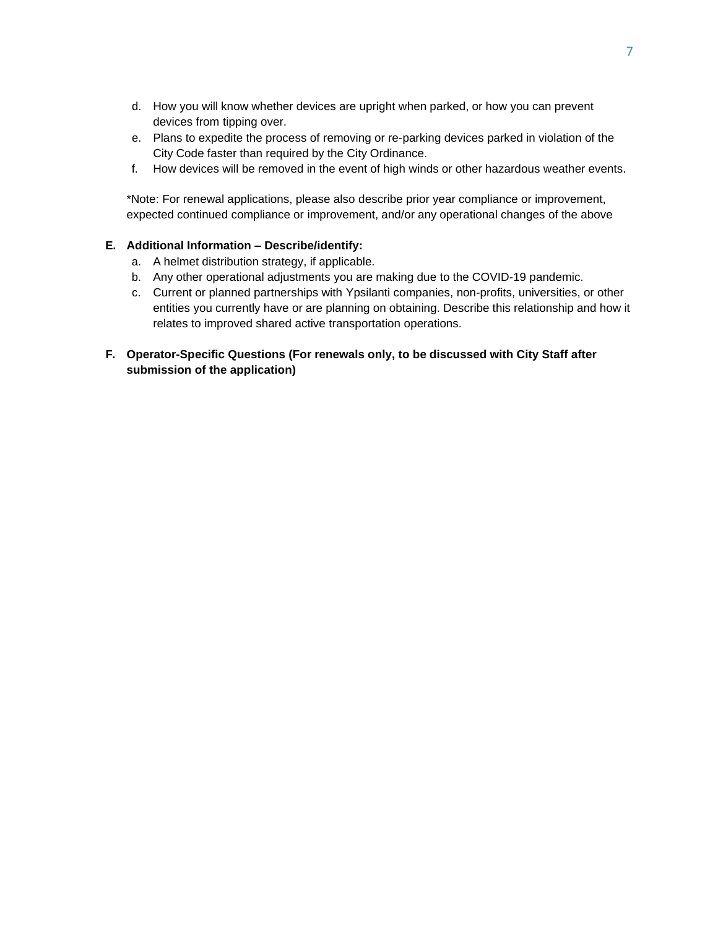- d. How you will know whether devices are upright when parked, or how you can prevent devices from tipping over.
- e. Plans to expedite the process of removing or re-parking devices parked in violation of the City Code faster than required by the City Ordinance.
- f. How devices will be removed in the event of high winds or other hazardous weather events.

\*Note: For renewal applications, please also describe prior year compliance or improvement, expected continued compliance or improvement, and/or any operational changes of the above

## **E. Additional Information – Describe/identify:**

- a. A helmet distribution strategy, if applicable.
- b. Any other operational adjustments you are making due to the COVID-19 pandemic.
- c. Current or planned partnerships with Ypsilanti companies, non-profits, universities, or other entities you currently have or are planning on obtaining. Describe this relationship and how it relates to improved shared active transportation operations.

# **F. Operator-Specific Questions (For renewals only, to be discussed with City Staff after submission of the application)**